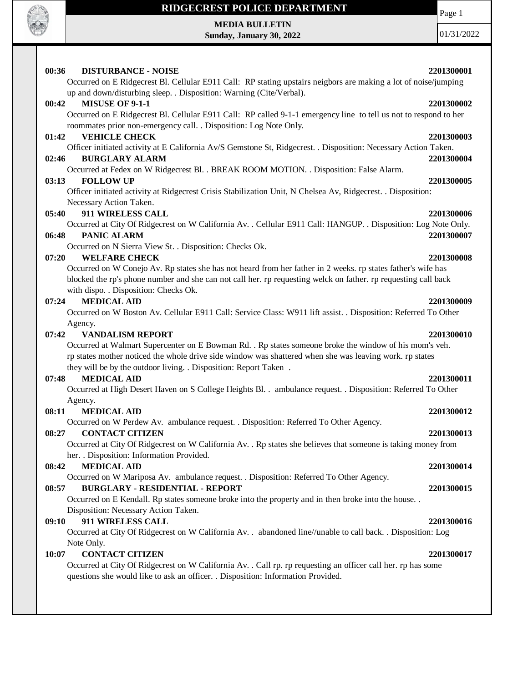

## **RIDGECREST POLICE DEPARTMENT**

**MEDIA BULLETIN Sunday, January 30, 2022** Page 1

01/31/2022

| 00:36<br><b>DISTURBANCE - NOISE</b>                                                                              | 2201300001 |
|------------------------------------------------------------------------------------------------------------------|------------|
| Occurred on E Ridgecrest Bl. Cellular E911 Call: RP stating upstairs neigbors are making a lot of noise/jumping  |            |
| up and down/disturbing sleep. . Disposition: Warning (Cite/Verbal).                                              |            |
| 00:42<br><b>MISUSE OF 9-1-1</b>                                                                                  | 2201300002 |
| Occurred on E Ridgecrest Bl. Cellular E911 Call: RP called 9-1-1 emergency line to tell us not to respond to her |            |
| roommates prior non-emergency call. . Disposition: Log Note Only.                                                |            |
| <b>VEHICLE CHECK</b><br>01:42                                                                                    | 2201300003 |
| Officer initiated activity at E California Av/S Gemstone St, Ridgecrest. . Disposition: Necessary Action Taken.  |            |
| <b>BURGLARY ALARM</b><br>02:46                                                                                   | 2201300004 |
| Occurred at Fedex on W Ridgecrest Bl. . BREAK ROOM MOTION. . Disposition: False Alarm.                           |            |
| 03:13<br><b>FOLLOW UP</b>                                                                                        | 2201300005 |
| Officer initiated activity at Ridgecrest Crisis Stabilization Unit, N Chelsea Av, Ridgecrest. . Disposition:     |            |
| Necessary Action Taken.                                                                                          |            |
| 911 WIRELESS CALL<br>05:40                                                                                       | 2201300006 |
| Occurred at City Of Ridgecrest on W California Av. . Cellular E911 Call: HANGUP. . Disposition: Log Note Only.   |            |
| 06:48<br>PANIC ALARM                                                                                             | 2201300007 |
| Occurred on N Sierra View St. . Disposition: Checks Ok.                                                          |            |
| <b>WELFARE CHECK</b><br>07:20                                                                                    | 2201300008 |
| Occurred on W Conejo Av. Rp states she has not heard from her father in 2 weeks. rp states father's wife has     |            |
| blocked the rp's phone number and she can not call her. rp requesting welck on father. rp requesting call back   |            |
| with dispo. . Disposition: Checks Ok.                                                                            |            |
| <b>MEDICAL AID</b><br>07:24                                                                                      | 2201300009 |
| Occurred on W Boston Av. Cellular E911 Call: Service Class: W911 lift assist. . Disposition: Referred To Other   |            |
| Agency.                                                                                                          |            |
| <b>VANDALISM REPORT</b><br>07:42                                                                                 | 2201300010 |
| Occurred at Walmart Supercenter on E Bowman Rd. . Rp states someone broke the window of his mom's veh.           |            |
| rp states mother noticed the whole drive side window was shattered when she was leaving work. rp states          |            |
| they will be by the outdoor living. . Disposition: Report Taken .                                                |            |
| <b>MEDICAL AID</b><br>07:48                                                                                      | 2201300011 |
| Occurred at High Desert Haven on S College Heights Bl. . ambulance request. . Disposition: Referred To Other     |            |
| Agency.                                                                                                          |            |
| 08:11<br><b>MEDICAL AID</b>                                                                                      | 2201300012 |
| Occurred on W Perdew Av. ambulance request. . Disposition: Referred To Other Agency.                             |            |
| <b>CONTACT CITIZEN</b><br>08:27                                                                                  | 2201300013 |
| Occurred at City Of Ridgecrest on W California Av. . Rp states she believes that someone is taking money from    |            |
| her. . Disposition: Information Provided.                                                                        |            |
| <b>MEDICAL AID</b><br>08:42                                                                                      | 2201300014 |
| Occurred on W Mariposa Av. ambulance request. . Disposition: Referred To Other Agency.                           |            |
| <b>BURGLARY - RESIDENTIAL - REPORT</b><br>08:57                                                                  | 2201300015 |
| Occurred on E Kendall. Rp states someone broke into the property and in then broke into the house                |            |
| Disposition: Necessary Action Taken.<br>911 WIRELESS CALL                                                        |            |
| 09:10                                                                                                            | 2201300016 |
| Occurred at City Of Ridgecrest on W California Av. . abandoned line//unable to call back. . Disposition: Log     |            |
| Note Only.<br><b>CONTACT CITIZEN</b><br>10:07                                                                    | 2201300017 |
| Occurred at City Of Ridgecrest on W California Av. . Call rp. rp requesting an officer call her. rp has some     |            |
| questions she would like to ask an officer. . Disposition: Information Provided.                                 |            |
|                                                                                                                  |            |
|                                                                                                                  |            |
|                                                                                                                  |            |
|                                                                                                                  |            |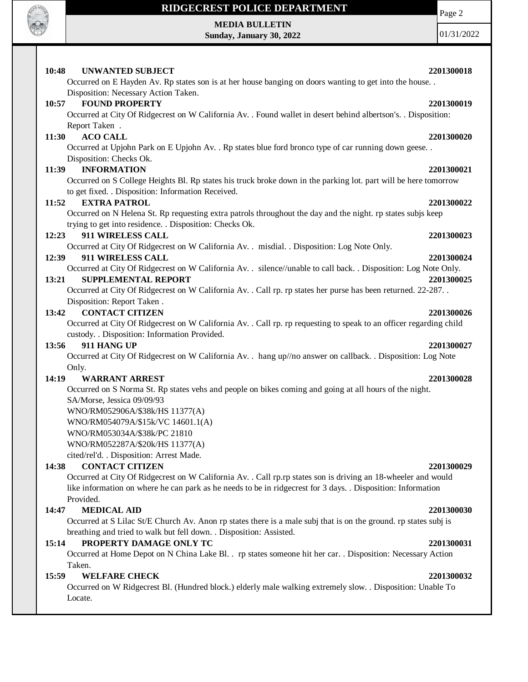

Locate.

# **RIDGECREST POLICE DEPARTMENT**

# **MEDIA BULLETIN**

**Sunday, January 30, 2022**

Page 2

01/31/2022

| 10:48 | <b>UNWANTED SUBJECT</b>                                                                                                                       | 2201300018 |
|-------|-----------------------------------------------------------------------------------------------------------------------------------------------|------------|
|       | Occurred on E Hayden Av. Rp states son is at her house banging on doors wanting to get into the house<br>Disposition: Necessary Action Taken. |            |
| 10:57 | <b>FOUND PROPERTY</b>                                                                                                                         | 2201300019 |
|       | Occurred at City Of Ridgecrest on W California Av. . Found wallet in desert behind albertson's. . Disposition:                                |            |
|       | Report Taken.                                                                                                                                 |            |
| 11:30 | <b>ACO CALL</b>                                                                                                                               | 2201300020 |
|       | Occurred at Upjohn Park on E Upjohn Av. . Rp states blue ford bronco type of car running down geese. .                                        |            |
|       | Disposition: Checks Ok.                                                                                                                       |            |
| 11:39 | <b>INFORMATION</b>                                                                                                                            | 2201300021 |
|       | Occurred on S College Heights Bl. Rp states his truck broke down in the parking lot. part will be here tomorrow                               |            |
|       | to get fixed. . Disposition: Information Received.                                                                                            |            |
| 11:52 | <b>EXTRA PATROL</b>                                                                                                                           | 2201300022 |
|       | Occurred on N Helena St. Rp requesting extra patrols throughout the day and the night. rp states subjs keep                                   |            |
|       | trying to get into residence. . Disposition: Checks Ok.                                                                                       |            |
| 12:23 | 911 WIRELESS CALL                                                                                                                             | 2201300023 |
|       | Occurred at City Of Ridgecrest on W California Av. . misdial. . Disposition: Log Note Only.                                                   |            |
| 12:39 | 911 WIRELESS CALL                                                                                                                             | 2201300024 |
|       | Occurred at City Of Ridgecrest on W California Av. . silence//unable to call back. . Disposition: Log Note Only.                              |            |
| 13:21 | <b>SUPPLEMENTAL REPORT</b>                                                                                                                    | 2201300025 |
|       | Occurred at City Of Ridgecrest on W California Av. . Call rp. rp states her purse has been returned. 22-287. .                                |            |
|       | Disposition: Report Taken.                                                                                                                    |            |
| 13:42 | <b>CONTACT CITIZEN</b>                                                                                                                        | 2201300026 |
|       | Occurred at City Of Ridgecrest on W California Av. . Call rp. rp requesting to speak to an officer regarding child                            |            |
| 13:56 | custody. . Disposition: Information Provided.<br>911 HANG UP                                                                                  | 2201300027 |
|       | Occurred at City Of Ridgecrest on W California Av. . hang up//no answer on callback. . Disposition: Log Note                                  |            |
| Only. |                                                                                                                                               |            |
| 14:19 | <b>WARRANT ARREST</b>                                                                                                                         | 2201300028 |
|       | Occurred on S Norma St. Rp states vehs and people on bikes coming and going at all hours of the night.                                        |            |
|       | SA/Morse, Jessica 09/09/93                                                                                                                    |            |
|       | WNO/RM052906A/\$38k/HS 11377(A)                                                                                                               |            |
|       | WNO/RM054079A/\$15k/VC 14601.1(A)                                                                                                             |            |
|       | WNO/RM053034A/\$38k/PC 21810                                                                                                                  |            |
|       | WNO/RM052287A/\$20k/HS 11377(A)                                                                                                               |            |
|       | cited/rel'd. . Disposition: Arrest Made.                                                                                                      |            |
| 14:38 | <b>CONTACT CITIZEN</b>                                                                                                                        | 2201300029 |
|       | Occurred at City Of Ridgecrest on W California Av. . Call rp.rp states son is driving an 18-wheeler and would                                 |            |
|       | like information on where he can park as he needs to be in ridgecrest for 3 days. . Disposition: Information                                  |            |
|       | Provided.                                                                                                                                     |            |
| 14:47 | <b>MEDICAL AID</b>                                                                                                                            | 2201300030 |
|       | Occurred at S Lilac St/E Church Av. Anon rp states there is a male subj that is on the ground. rp states subj is                              |            |
|       | breathing and tried to walk but fell down. . Disposition: Assisted.                                                                           |            |
| 15:14 | PROPERTY DAMAGE ONLY TC                                                                                                                       | 2201300031 |
|       | Occurred at Home Depot on N China Lake Bl. . rp states someone hit her car. . Disposition: Necessary Action                                   |            |
|       | Taken.                                                                                                                                        |            |
| 15:59 | <b>WELFARE CHECK</b>                                                                                                                          | 2201300032 |
|       | Occurred on W Ridgecrest Bl. (Hundred block.) elderly male walking extremely slow. . Disposition: Unable To                                   |            |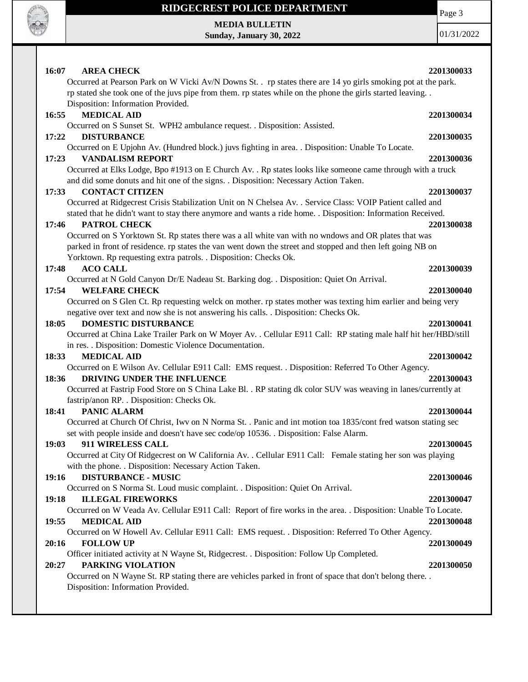

## **RIDGECREST POLICE DEPARTMENT**

Page 3

**MEDIA BULLETIN Sunday, January 30, 2022**

01/31/2022

| 16:07<br><b>AREA CHECK</b>                                                                                      | 2201300033 |
|-----------------------------------------------------------------------------------------------------------------|------------|
| Occurred at Pearson Park on W Vicki Av/N Downs St. . rp states there are 14 yo girls smoking pot at the park.   |            |
| rp stated she took one of the juvs pipe from them. rp states while on the phone the girls started leaving       |            |
| Disposition: Information Provided.                                                                              |            |
| <b>MEDICAL AID</b><br>16:55                                                                                     | 2201300034 |
| Occurred on S Sunset St. WPH2 ambulance request. . Disposition: Assisted.                                       |            |
| 17:22<br><b>DISTURBANCE</b>                                                                                     | 2201300035 |
| Occurred on E Upjohn Av. (Hundred block.) juvs fighting in area. . Disposition: Unable To Locate.               |            |
| <b>VANDALISM REPORT</b><br>17:23                                                                                | 2201300036 |
| Occurred at Elks Lodge, Bpo #1913 on E Church Av. . Rp states looks like someone came through with a truck      |            |
| and did some donuts and hit one of the signs. . Disposition: Necessary Action Taken.                            |            |
| <b>CONTACT CITIZEN</b><br>17:33                                                                                 | 2201300037 |
| Occurred at Ridgecrest Crisis Stabilization Unit on N Chelsea Av. . Service Class: VOIP Patient called and      |            |
| stated that he didn't want to stay there anymore and wants a ride home. . Disposition: Information Received.    |            |
| PATROL CHECK<br>17:46                                                                                           | 2201300038 |
| Occurred on S Yorktown St. Rp states there was a all white van with no wndows and OR plates that was            |            |
| parked in front of residence. rp states the van went down the street and stopped and then left going NB on      |            |
| Yorktown. Rp requesting extra patrols. . Disposition: Checks Ok.                                                |            |
| <b>ACO CALL</b><br>17:48                                                                                        | 2201300039 |
| Occurred at N Gold Canyon Dr/E Nadeau St. Barking dog. . Disposition: Quiet On Arrival.                         |            |
| <b>WELFARE CHECK</b><br>17:54                                                                                   | 2201300040 |
| Occurred on S Glen Ct. Rp requesting welck on mother. rp states mother was texting him earlier and being very   |            |
| negative over text and now she is not answering his calls. . Disposition: Checks Ok.                            |            |
| <b>DOMESTIC DISTURBANCE</b><br>18:05                                                                            | 2201300041 |
| Occurred at China Lake Trailer Park on W Moyer Av. . Cellular E911 Call: RP stating male half hit her/HBD/still |            |
| in res. . Disposition: Domestic Violence Documentation.                                                         |            |
| <b>MEDICAL AID</b><br>18:33                                                                                     | 2201300042 |
| Occurred on E Wilson Av. Cellular E911 Call: EMS request. . Disposition: Referred To Other Agency.              |            |
| DRIVING UNDER THE INFLUENCE<br>18:36                                                                            | 2201300043 |
| Occurred at Fastrip Food Store on S China Lake Bl. . RP stating dk color SUV was weaving in lanes/currently at  |            |
| fastrip/anon RP. . Disposition: Checks Ok.                                                                      |            |
| 18:41<br><b>PANIC ALARM</b>                                                                                     | 2201300044 |
| Occurred at Church Of Christ, Iwv on N Norma St. . Panic and int motion toa 1835/cont fred watson stating sec   |            |
| set with people inside and doesn't have sec code/op 10536. Disposition: False Alarm.                            |            |
| 19:03<br>911 WIRELESS CALL                                                                                      | 2201300045 |
| Occurred at City Of Ridgecrest on W California Av. . Cellular E911 Call: Female stating her son was playing     |            |
| with the phone. . Disposition: Necessary Action Taken.                                                          |            |
| <b>DISTURBANCE - MUSIC</b><br>19:16                                                                             | 2201300046 |
| Occurred on S Norma St. Loud music complaint. . Disposition: Quiet On Arrival.                                  |            |
| <b>ILLEGAL FIREWORKS</b><br>19:18                                                                               | 2201300047 |
| Occurred on W Veada Av. Cellular E911 Call: Report of fire works in the area. . Disposition: Unable To Locate.  |            |
| 19:55<br><b>MEDICAL AID</b>                                                                                     | 2201300048 |
| Occurred on W Howell Av. Cellular E911 Call: EMS request. . Disposition: Referred To Other Agency.              |            |
| 20:16<br><b>FOLLOW UP</b>                                                                                       | 2201300049 |
| Officer initiated activity at N Wayne St, Ridgecrest. . Disposition: Follow Up Completed.                       |            |
| PARKING VIOLATION<br>20:27                                                                                      | 2201300050 |
| Occurred on N Wayne St. RP stating there are vehicles parked in front of space that don't belong there. .       |            |
| Disposition: Information Provided.                                                                              |            |
|                                                                                                                 |            |